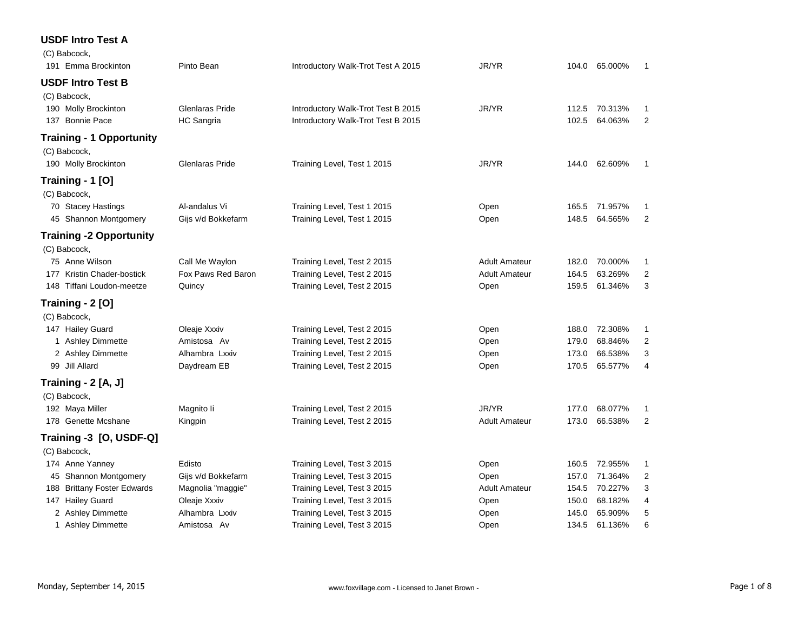### **USDF Intro Test A**

| (C) Babcock,                    |                    |                                    |                      |       |               |                |
|---------------------------------|--------------------|------------------------------------|----------------------|-------|---------------|----------------|
| 191 Emma Brockinton             | Pinto Bean         | Introductory Walk-Trot Test A 2015 | JR/YR                | 104.0 | 65.000%       | $\mathbf{1}$   |
| <b>USDF Intro Test B</b>        |                    |                                    |                      |       |               |                |
| (C) Babcock,                    |                    |                                    |                      |       |               |                |
| 190 Molly Brockinton            | Glenlaras Pride    | Introductory Walk-Trot Test B 2015 | JR/YR                | 112.5 | 70.313%       | 1              |
| 137 Bonnie Pace                 | <b>HC</b> Sangria  | Introductory Walk-Trot Test B 2015 |                      | 102.5 | 64.063%       | $\overline{2}$ |
| <b>Training - 1 Opportunity</b> |                    |                                    |                      |       |               |                |
| (C) Babcock,                    |                    |                                    |                      |       |               |                |
| 190 Molly Brockinton            | Glenlaras Pride    | Training Level, Test 1 2015        | JR/YR                |       | 144.0 62.609% | 1              |
| Training - 1 [O]                |                    |                                    |                      |       |               |                |
| (C) Babcock,                    |                    |                                    |                      |       |               |                |
| 70 Stacey Hastings              | Al-andalus Vi      | Training Level, Test 1 2015        | Open                 | 165.5 | 71.957%       | 1              |
| 45 Shannon Montgomery           | Gijs v/d Bokkefarm | Training Level, Test 1 2015        | Open                 | 148.5 | 64.565%       | 2              |
| <b>Training -2 Opportunity</b>  |                    |                                    |                      |       |               |                |
| (C) Babcock,                    |                    |                                    |                      |       |               |                |
| 75 Anne Wilson                  | Call Me Waylon     | Training Level, Test 2 2015        | <b>Adult Amateur</b> | 182.0 | 70.000%       | 1              |
| 177 Kristin Chader-bostick      | Fox Paws Red Baron | Training Level, Test 2 2015        | <b>Adult Amateur</b> | 164.5 | 63.269%       | 2              |
| 148 Tiffani Loudon-meetze       | Quincy             | Training Level, Test 2 2015        | Open                 | 159.5 | 61.346%       | 3              |
| Training - 2 [O]                |                    |                                    |                      |       |               |                |
| (C) Babcock,                    |                    |                                    |                      |       |               |                |
| 147 Hailey Guard                | Oleaje Xxxiv       | Training Level, Test 2 2015        | Open                 | 188.0 | 72.308%       | 1              |
| 1 Ashley Dimmette               | Amistosa Av        | Training Level, Test 2 2015        | Open                 | 179.0 | 68.846%       | $\overline{2}$ |
| 2 Ashley Dimmette               | Alhambra Lxxiv     | Training Level, Test 2 2015        | Open                 | 173.0 | 66.538%       | 3              |
| 99 Jill Allard                  | Daydream EB        | Training Level, Test 2 2015        | Open                 | 170.5 | 65.577%       | 4              |
| Training - 2 [A, J]             |                    |                                    |                      |       |               |                |
| (C) Babcock,                    |                    |                                    |                      |       |               |                |
| 192 Maya Miller                 | Magnito li         | Training Level, Test 2 2015        | JR/YR                | 177.0 | 68.077%       | 1              |
| 178 Genette Mcshane             | Kingpin            | Training Level, Test 2 2015        | <b>Adult Amateur</b> | 173.0 | 66.538%       | $\overline{2}$ |
| Training -3 [O, USDF-Q]         |                    |                                    |                      |       |               |                |
| (C) Babcock,                    |                    |                                    |                      |       |               |                |
| 174 Anne Yanney                 | Edisto             | Training Level, Test 3 2015        | Open                 | 160.5 | 72.955%       | 1              |
| 45 Shannon Montgomery           | Gijs v/d Bokkefarm | Training Level, Test 3 2015        | Open                 | 157.0 | 71.364%       | $\overline{c}$ |
| 188 Brittany Foster Edwards     | Magnolia "maggie"  | Training Level, Test 3 2015        | <b>Adult Amateur</b> | 154.5 | 70.227%       | 3              |
| 147 Hailey Guard                | Oleaje Xxxiv       | Training Level, Test 3 2015        | Open                 | 150.0 | 68.182%       | 4              |
| 2 Ashley Dimmette               | Alhambra Lxxiv     | Training Level, Test 3 2015        | Open                 | 145.0 | 65.909%       | 5              |
| 1 Ashley Dimmette               | Amistosa Av        | Training Level, Test 3 2015        | Open                 | 134.5 | 61.136%       | 6              |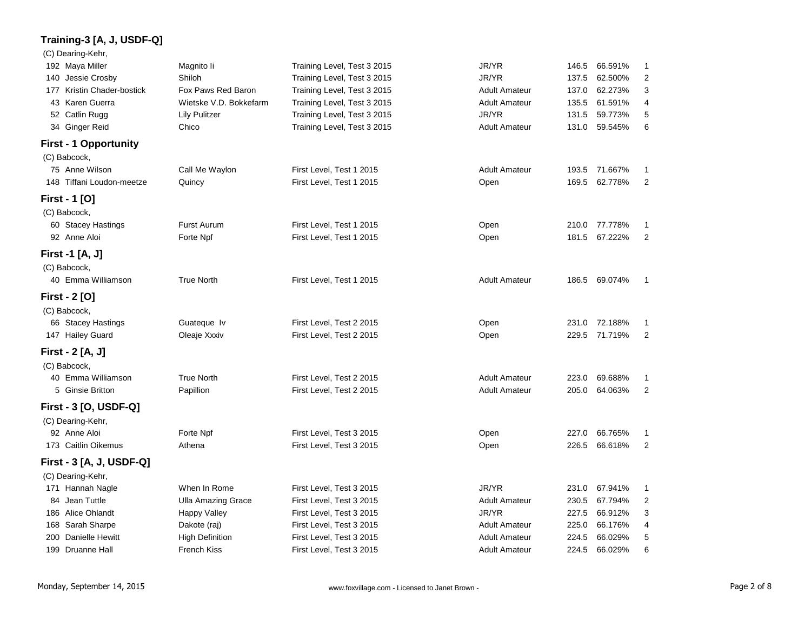# **Training-3 [A, J, USDF-Q]**

#### (C) Dearing-Kehr,

| 192 Maya Miller              | Magnito li                | Training Level, Test 3 2015 | JR/YR                | 146.5 | 66.591%       | 1              |
|------------------------------|---------------------------|-----------------------------|----------------------|-------|---------------|----------------|
| 140 Jessie Crosby            | Shiloh                    | Training Level, Test 3 2015 | JR/YR                | 137.5 | 62.500%       | 2              |
| 177 Kristin Chader-bostick   | Fox Paws Red Baron        | Training Level, Test 3 2015 | <b>Adult Amateur</b> | 137.0 | 62.273%       | 3              |
| 43 Karen Guerra              | Wietske V.D. Bokkefarm    | Training Level, Test 3 2015 | <b>Adult Amateur</b> | 135.5 | 61.591%       | 4              |
| 52 Catlin Rugg               | <b>Lily Pulitzer</b>      | Training Level, Test 3 2015 | JR/YR                | 131.5 | 59.773%       | 5              |
| 34 Ginger Reid               | Chico                     | Training Level, Test 3 2015 | <b>Adult Amateur</b> | 131.0 | 59.545%       | 6              |
| <b>First - 1 Opportunity</b> |                           |                             |                      |       |               |                |
| (C) Babcock,                 |                           |                             |                      |       |               |                |
| 75 Anne Wilson               | Call Me Waylon            | First Level, Test 1 2015    | <b>Adult Amateur</b> | 193.5 | 71.667%       | 1              |
| 148 Tiffani Loudon-meetze    | Quincy                    | First Level, Test 1 2015    | Open                 | 169.5 | 62.778%       | 2              |
| First - 1 [O]                |                           |                             |                      |       |               |                |
| (C) Babcock,                 |                           |                             |                      |       |               |                |
| 60 Stacey Hastings           | Furst Aurum               | First Level, Test 1 2015    | Open                 | 210.0 | 77.778%       | 1              |
| 92 Anne Aloi                 | Forte Npf                 | First Level, Test 1 2015    | Open                 | 181.5 | 67.222%       | 2              |
| First -1 [A, J]              |                           |                             |                      |       |               |                |
| (C) Babcock,                 |                           |                             |                      |       |               |                |
| 40 Emma Williamson           | <b>True North</b>         | First Level, Test 1 2015    | <b>Adult Amateur</b> |       | 186.5 69.074% | 1              |
| <b>First - 2 [O]</b>         |                           |                             |                      |       |               |                |
| (C) Babcock,                 |                           |                             |                      |       |               |                |
| 66 Stacey Hastings           | Guateque Iv               | First Level, Test 2 2015    | Open                 | 231.0 | 72.188%       | -1             |
| 147 Hailey Guard             | Oleaje Xxxiv              | First Level, Test 2 2015    | Open                 | 229.5 | 71.719%       | $\overline{2}$ |
| First - 2 [A, J]             |                           |                             |                      |       |               |                |
| (C) Babcock,                 |                           |                             |                      |       |               |                |
| 40 Emma Williamson           | <b>True North</b>         | First Level, Test 2 2015    | <b>Adult Amateur</b> | 223.0 | 69.688%       | 1              |
| 5 Ginsie Britton             | Papillion                 | First Level, Test 2 2015    | <b>Adult Amateur</b> | 205.0 | 64.063%       | 2              |
| First - 3 [O, USDF-Q]        |                           |                             |                      |       |               |                |
| (C) Dearing-Kehr,            |                           |                             |                      |       |               |                |
| 92 Anne Aloi                 | Forte Npf                 | First Level, Test 3 2015    | Open                 | 227.0 | 66.765%       | 1              |
| 173 Caitlin Oikemus          | Athena                    | First Level, Test 3 2015    | Open                 | 226.5 | 66.618%       | 2              |
| First - 3 [A, J, USDF-Q]     |                           |                             |                      |       |               |                |
| (C) Dearing-Kehr,            |                           |                             |                      |       |               |                |
| 171 Hannah Nagle             | When In Rome              | First Level, Test 3 2015    | JR/YR                | 231.0 | 67.941%       | 1              |
| 84 Jean Tuttle               | <b>Ulla Amazing Grace</b> | First Level, Test 3 2015    | <b>Adult Amateur</b> | 230.5 | 67.794%       | 2              |
| 186 Alice Ohlandt            | <b>Happy Valley</b>       | First Level, Test 3 2015    | JR/YR                | 227.5 | 66.912%       | 3              |
| 168 Sarah Sharpe             | Dakote (raj)              | First Level, Test 3 2015    | <b>Adult Amateur</b> | 225.0 | 66.176%       | 4              |
| 200 Danielle Hewitt          | <b>High Definition</b>    | First Level, Test 3 2015    | <b>Adult Amateur</b> | 224.5 | 66.029%       | 5              |
| 199 Druanne Hall             | <b>French Kiss</b>        | First Level, Test 3 2015    | <b>Adult Amateur</b> | 224.5 | 66.029%       | 6              |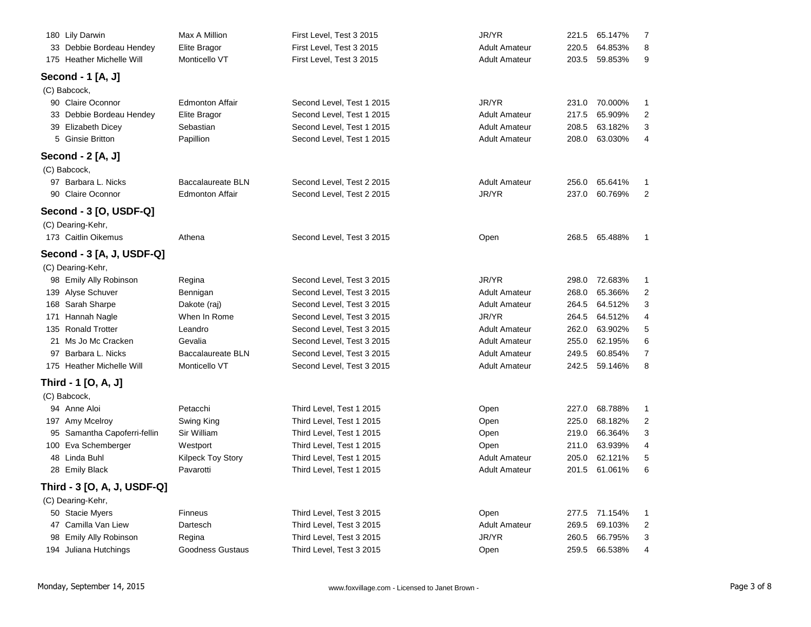| 180 Lily Darwin                      | Max A Million                | First Level, Test 3 2015                               | JR/YR                                        | 221.5          | 65.147%            |        |
|--------------------------------------|------------------------------|--------------------------------------------------------|----------------------------------------------|----------------|--------------------|--------|
| 33 Debbie Bordeau Hendey             | Elite Bragor                 | First Level, Test 3 2015                               | <b>Adult Amateur</b>                         | 220.5          | 64.853%            |        |
| 175 Heather Michelle Will            | Monticello VT                | First Level, Test 3 2015                               | <b>Adult Amateur</b>                         | 203.5          | 59.853%            | ç      |
| Second - 1 [A, J]                    |                              |                                                        |                                              |                |                    |        |
| (C) Babcock,                         |                              |                                                        |                                              |                |                    |        |
| 90 Claire Oconnor                    | <b>Edmonton Affair</b>       | Second Level, Test 1 2015                              | JR/YR                                        | 231.0          | 70.000%            | 1      |
| 33 Debbie Bordeau Hendey             | Elite Bragor                 | Second Level, Test 1 2015                              | <b>Adult Amateur</b>                         | 217.5          | 65.909%            | 2      |
| 39 Elizabeth Dicey                   | Sebastian                    | Second Level, Test 1 2015                              | <b>Adult Amateur</b>                         | 208.5          | 63.182%            | 3      |
| 5 Ginsie Britton                     | Papillion                    | Second Level, Test 1 2015                              | <b>Adult Amateur</b>                         | 208.0          | 63.030%            | 4      |
| Second - 2 [A, J]                    |                              |                                                        |                                              |                |                    |        |
| (C) Babcock,                         |                              |                                                        |                                              |                |                    |        |
| 97 Barbara L. Nicks                  | <b>Baccalaureate BLN</b>     | Second Level, Test 2 2015                              | <b>Adult Amateur</b>                         | 256.0          | 65.641%            | 1      |
| 90 Claire Oconnor                    | <b>Edmonton Affair</b>       | Second Level, Test 2 2015                              | JR/YR                                        | 237.0          | 60.769%            | 2      |
| Second - 3 [O, USDF-Q]               |                              |                                                        |                                              |                |                    |        |
| (C) Dearing-Kehr,                    |                              |                                                        |                                              |                |                    |        |
| 173 Caitlin Oikemus                  | Athena                       | Second Level, Test 3 2015                              | Open                                         | 268.5          | 65.488%            |        |
|                                      |                              |                                                        |                                              |                |                    |        |
| Second - 3 [A, J, USDF-Q]            |                              |                                                        |                                              |                |                    |        |
| (C) Dearing-Kehr,                    |                              |                                                        | JR/YR                                        |                |                    |        |
| 98 Emily Ally Robinson               | Regina                       | Second Level, Test 3 2015                              |                                              | 298.0          | 72.683%            |        |
| 139 Alyse Schuver                    | Bennigan                     | Second Level, Test 3 2015                              | <b>Adult Amateur</b><br><b>Adult Amateur</b> | 268.0<br>264.5 | 65.366%            | 2<br>3 |
| 168 Sarah Sharpe<br>171 Hannah Nagle | Dakote (raj)<br>When In Rome | Second Level, Test 3 2015<br>Second Level, Test 3 2015 | JR/YR                                        | 264.5          | 64.512%<br>64.512% | 4      |
| 135 Ronald Trotter                   | Leandro                      | Second Level, Test 3 2015                              | <b>Adult Amateur</b>                         | 262.0          | 63.902%            | 5      |
| 21 Ms Jo Mc Cracken                  | Gevalia                      | Second Level, Test 3 2015                              | <b>Adult Amateur</b>                         | 255.0          | 62.195%            | 6      |
| 97 Barbara L. Nicks                  | <b>Baccalaureate BLN</b>     | Second Level, Test 3 2015                              | <b>Adult Amateur</b>                         | 249.5          | 60.854%            | 7      |
| 175 Heather Michelle Will            | Monticello VT                | Second Level, Test 3 2015                              | <b>Adult Amateur</b>                         | 242.5          | 59.146%            | 8      |
|                                      |                              |                                                        |                                              |                |                    |        |
| Third - 1 [O, A, J]                  |                              |                                                        |                                              |                |                    |        |
| (C) Babcock,                         |                              |                                                        |                                              |                |                    |        |
| 94 Anne Aloi                         | Petacchi                     | Third Level, Test 1 2015                               | Open                                         | 227.0          | 68.788%            | 1      |
| 197 Amy Mcelroy                      | Swing King                   | Third Level, Test 1 2015                               | Open                                         | 225.0          | 68.182%            | 2      |
| 95 Samantha Capoferri-fellin         | Sir William                  | Third Level, Test 1 2015                               | Open                                         | 219.0          | 66.364%            | 3      |
| 100 Eva Schemberger                  | Westport                     | Third Level, Test 1 2015                               | Open                                         | 211.0          | 63.939%            |        |
| 48 Linda Buhl                        | <b>Kilpeck Toy Story</b>     | Third Level, Test 1 2015                               | <b>Adult Amateur</b>                         | 205.0          | 62.121%            | 5<br>6 |
| 28 Emily Black                       | Pavarotti                    | Third Level, Test 1 2015                               | <b>Adult Amateur</b>                         | 201.5          | 61.061%            |        |
| Third - 3 [O, A, J, USDF-Q]          |                              |                                                        |                                              |                |                    |        |
| (C) Dearing-Kehr,                    |                              |                                                        |                                              |                |                    |        |
| 50 Stacie Myers                      | <b>Finneus</b>               | Third Level, Test 3 2015                               | Open                                         | 277.5          | 71.154%            |        |
| 47 Camilla Van Liew                  | Dartesch                     | Third Level, Test 3 2015                               | <b>Adult Amateur</b>                         | 269.5          | 69.103%            | 2      |
| 98 Emily Ally Robinson               | Regina                       | Third Level, Test 3 2015                               | JR/YR                                        | 260.5          | 66.795%            | З      |
| 194 Juliana Hutchings                | <b>Goodness Gustaus</b>      | Third Level, Test 3 2015                               | Open                                         | 259.5          | 66.538%            | 4      |
|                                      |                              |                                                        |                                              |                |                    |        |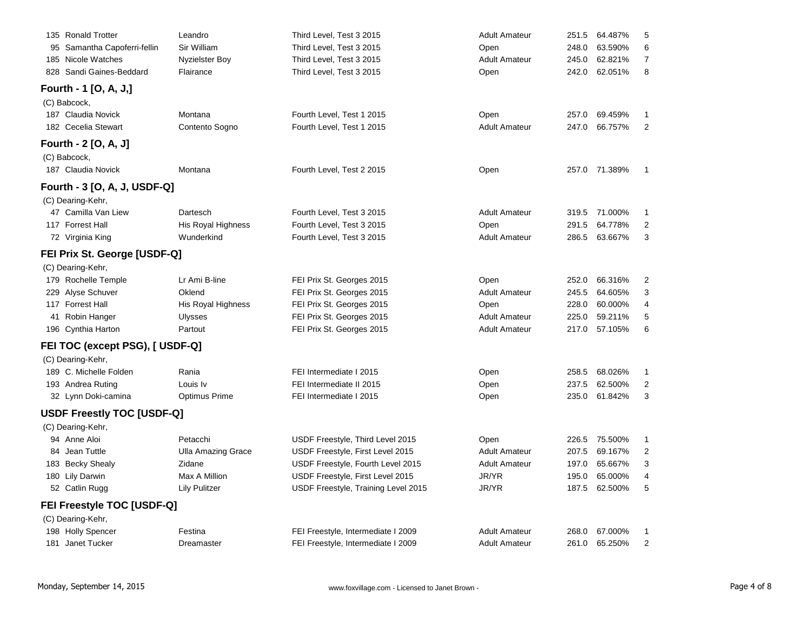| Leandro                   | Third Level, Test 3 2015                                                                                                                                           | <b>Adult Amateur</b> | 251.5 | 64.487% |   |
|---------------------------|--------------------------------------------------------------------------------------------------------------------------------------------------------------------|----------------------|-------|---------|---|
| Sir William               | Third Level, Test 3 2015                                                                                                                                           | Open                 | 248.0 | 63.590% | 6 |
| <b>Nyzielster Boy</b>     | Third Level, Test 3 2015                                                                                                                                           | <b>Adult Amateur</b> | 245.0 | 62.821% | 7 |
| Flairance                 | Third Level, Test 3 2015                                                                                                                                           | Open                 | 242.0 | 62.051% | 8 |
|                           |                                                                                                                                                                    |                      |       |         |   |
|                           |                                                                                                                                                                    |                      |       |         |   |
| Montana                   | Fourth Level, Test 1 2015                                                                                                                                          | Open                 | 257.0 | 69.459% |   |
| Contento Sogno            | Fourth Level, Test 1 2015                                                                                                                                          | <b>Adult Amateur</b> | 247.0 | 66.757% | 2 |
|                           |                                                                                                                                                                    |                      |       |         |   |
|                           |                                                                                                                                                                    |                      |       |         |   |
| Montana                   | Fourth Level, Test 2 2015                                                                                                                                          | Open                 | 257.0 | 71.389% |   |
|                           |                                                                                                                                                                    |                      |       |         |   |
|                           |                                                                                                                                                                    |                      |       |         |   |
| Dartesch                  | Fourth Level, Test 3 2015                                                                                                                                          | <b>Adult Amateur</b> | 319.5 | 71.000% |   |
| His Royal Highness        | Fourth Level, Test 3 2015                                                                                                                                          | Open                 | 291.5 | 64.778% | 2 |
| Wunderkind                | Fourth Level, Test 3 2015                                                                                                                                          | <b>Adult Amateur</b> | 286.5 | 63.667% | 3 |
|                           |                                                                                                                                                                    |                      |       |         |   |
|                           |                                                                                                                                                                    |                      |       |         |   |
| Lr Ami B-line             | FEI Prix St. Georges 2015                                                                                                                                          | Open                 | 252.0 | 66.316% | 2 |
| Oklend                    | FEI Prix St. Georges 2015                                                                                                                                          | <b>Adult Amateur</b> | 245.5 | 64.605% | 3 |
| His Royal Highness        | FEI Prix St. Georges 2015                                                                                                                                          | Open                 | 228.0 | 60.000% | 4 |
| <b>Ulysses</b>            | FEI Prix St. Georges 2015                                                                                                                                          | <b>Adult Amateur</b> | 225.0 | 59.211% | 5 |
| Partout                   | FEI Prix St. Georges 2015                                                                                                                                          | <b>Adult Amateur</b> | 217.0 | 57.105% | 6 |
|                           |                                                                                                                                                                    |                      |       |         |   |
|                           |                                                                                                                                                                    |                      |       |         |   |
| Rania                     | FEI Intermediate I 2015                                                                                                                                            | Open                 | 258.5 | 68.026% |   |
| Louis Iv                  | FEI Intermediate II 2015                                                                                                                                           | Open                 | 237.5 | 62.500% | 2 |
| Optimus Prime             | FEI Intermediate I 2015                                                                                                                                            | Open                 | 235.0 | 61.842% | 3 |
|                           |                                                                                                                                                                    |                      |       |         |   |
|                           |                                                                                                                                                                    |                      |       |         |   |
| Petacchi                  | USDF Freestyle, Third Level 2015                                                                                                                                   | Open                 | 226.5 | 75.500% | 1 |
| <b>Ulla Amazing Grace</b> | USDF Freestyle, First Level 2015                                                                                                                                   | <b>Adult Amateur</b> | 207.5 | 69.167% | 2 |
| Zidane                    | USDF Freestyle, Fourth Level 2015                                                                                                                                  | <b>Adult Amateur</b> | 197.0 | 65.667% | 3 |
| Max A Million             | USDF Freestyle, First Level 2015                                                                                                                                   | JR/YR                | 195.0 | 65.000% | 4 |
| <b>Lily Pulitzer</b>      | USDF Freestyle, Training Level 2015                                                                                                                                | JR/YR                | 187.5 | 62.500% | 5 |
|                           |                                                                                                                                                                    |                      |       |         |   |
|                           |                                                                                                                                                                    |                      |       |         |   |
| Festina                   | FEI Freestyle, Intermediate I 2009                                                                                                                                 | <b>Adult Amateur</b> | 268.0 | 67.000% |   |
| Dreamaster                | FEI Freestyle, Intermediate I 2009                                                                                                                                 | <b>Adult Amateur</b> | 261.0 | 65.250% | 2 |
|                           | Fourth - 3 [O, A, J, USDF-Q]<br>FEI Prix St. George [USDF-Q]<br>FEI TOC (except PSG), [ USDF-Q]<br><b>USDF Freestly TOC [USDF-Q]</b><br>FEI Freestyle TOC [USDF-Q] |                      |       |         |   |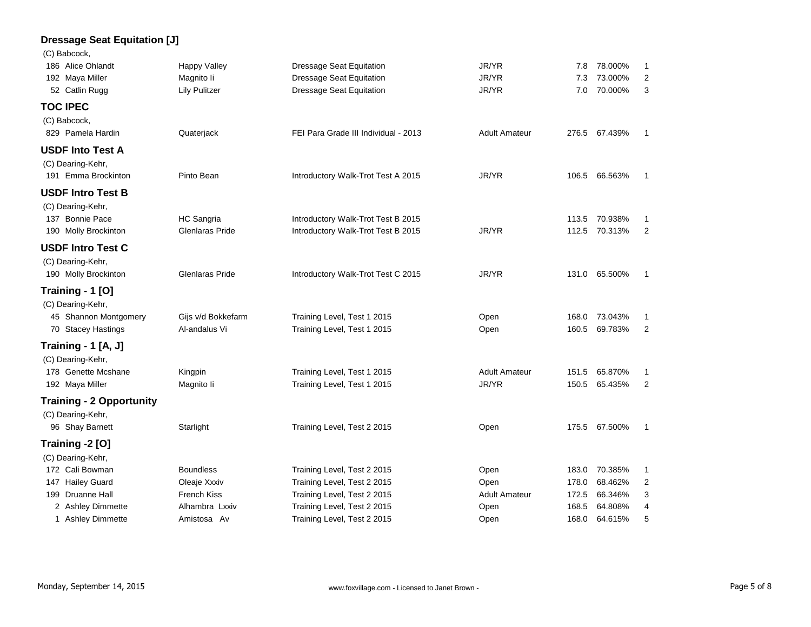### **Dressage Seat Equitation [J]**

(C) Babcock,

| 186 Alice Ohlandt               | Happy Valley           | Dressage Seat Equitation             | JR/YR                | 7.8   | 78.000%       | 1              |
|---------------------------------|------------------------|--------------------------------------|----------------------|-------|---------------|----------------|
| 192 Maya Miller                 | Magnito li             | <b>Dressage Seat Equitation</b>      | JR/YR                | 7.3   | 73.000%       | 2              |
| 52 Catlin Rugg                  | <b>Lily Pulitzer</b>   | <b>Dressage Seat Equitation</b>      | JR/YR                | 7.0   | 70.000%       | 3              |
| <b>TOC IPEC</b>                 |                        |                                      |                      |       |               |                |
| (C) Babcock,                    |                        |                                      |                      |       |               |                |
| 829 Pamela Hardin               | Quaterjack             | FEI Para Grade III Individual - 2013 | <b>Adult Amateur</b> |       | 276.5 67.439% | $\mathbf{1}$   |
| <b>USDF Into Test A</b>         |                        |                                      |                      |       |               |                |
| (C) Dearing-Kehr,               |                        |                                      |                      |       |               |                |
| 191 Emma Brockinton             | Pinto Bean             | Introductory Walk-Trot Test A 2015   | JR/YR                |       | 106.5 66.563% | -1             |
| <b>USDF Intro Test B</b>        |                        |                                      |                      |       |               |                |
| (C) Dearing-Kehr,               |                        |                                      |                      |       |               |                |
| 137 Bonnie Pace                 | HC Sangria             | Introductory Walk-Trot Test B 2015   |                      | 113.5 | 70.938%       | 1              |
| 190 Molly Brockinton            | Glenlaras Pride        | Introductory Walk-Trot Test B 2015   | JR/YR                | 112.5 | 70.313%       | $\overline{2}$ |
| <b>USDF Intro Test C</b>        |                        |                                      |                      |       |               |                |
| (C) Dearing-Kehr,               |                        |                                      |                      |       |               |                |
| 190 Molly Brockinton            | <b>Glenlaras Pride</b> | Introductory Walk-Trot Test C 2015   | JR/YR                |       | 131.0 65.500% | $\mathbf{1}$   |
| Training - 1 [O]                |                        |                                      |                      |       |               |                |
| (C) Dearing-Kehr,               |                        |                                      |                      |       |               |                |
| 45 Shannon Montgomery           | Gijs v/d Bokkefarm     | Training Level, Test 1 2015          | Open                 |       | 168.0 73.043% | 1              |
| 70 Stacey Hastings              | Al-andalus Vi          | Training Level, Test 1 2015          | Open                 | 160.5 | 69.783%       | 2              |
| Training - 1 [A, J]             |                        |                                      |                      |       |               |                |
| (C) Dearing-Kehr,               |                        |                                      |                      |       |               |                |
| 178 Genette Mcshane             | Kingpin                | Training Level, Test 1 2015          | <b>Adult Amateur</b> | 151.5 | 65.870%       | 1              |
| 192 Maya Miller                 | Magnito li             | Training Level, Test 1 2015          | JR/YR                | 150.5 | 65.435%       | 2              |
| <b>Training - 2 Opportunity</b> |                        |                                      |                      |       |               |                |
| (C) Dearing-Kehr,               |                        |                                      |                      |       |               |                |
| 96 Shay Barnett                 | Starlight              | Training Level, Test 2 2015          | Open                 |       | 175.5 67.500% | 1              |
| Training -2 [O]                 |                        |                                      |                      |       |               |                |
| (C) Dearing-Kehr,               |                        |                                      |                      |       |               |                |
| 172 Cali Bowman                 | <b>Boundless</b>       | Training Level, Test 2 2015          | Open                 | 183.0 | 70.385%       | 1              |
| 147 Hailey Guard                | Oleaje Xxxiv           | Training Level, Test 2 2015          | Open                 | 178.0 | 68.462%       | $\overline{c}$ |
| 199 Druanne Hall                | <b>French Kiss</b>     | Training Level, Test 2 2015          | <b>Adult Amateur</b> | 172.5 | 66.346%       | 3              |
| 2 Ashley Dimmette               | Alhambra Lxxiv         | Training Level, Test 2 2015          | Open                 | 168.5 | 64.808%       | 4              |
| 1 Ashley Dimmette               | Amistosa Av            | Training Level, Test 2 2015          | Open                 | 168.0 | 64.615%       | 5              |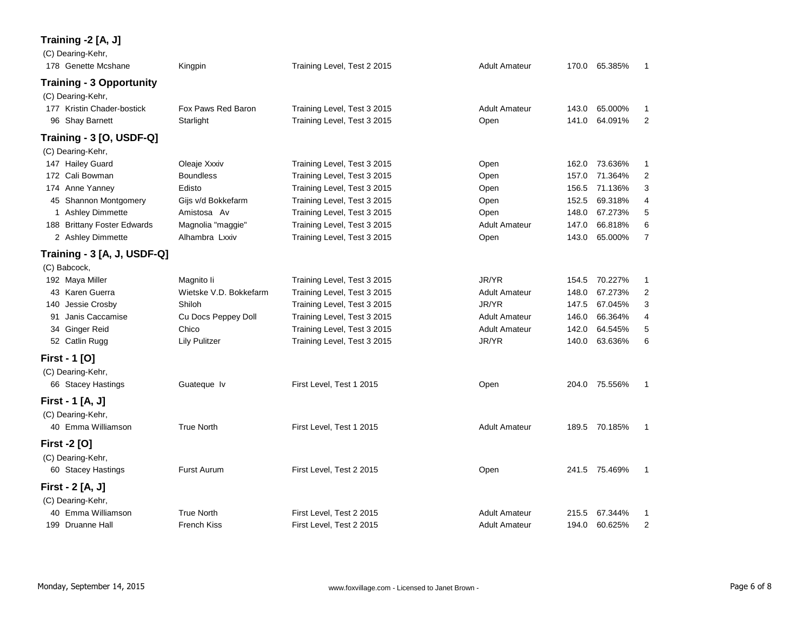# **Training -2 [A, J]**

| (C) Dearing-Kehr,<br>178 Genette Mcshane        | Kingpin                | Training Level, Test 2 2015                                | <b>Adult Amateur</b> | 170.0 | 65.385%       | 1              |
|-------------------------------------------------|------------------------|------------------------------------------------------------|----------------------|-------|---------------|----------------|
| <b>Training - 3 Opportunity</b>                 |                        |                                                            |                      |       |               |                |
|                                                 |                        |                                                            |                      |       |               |                |
| (C) Dearing-Kehr,<br>177 Kristin Chader-bostick | Fox Paws Red Baron     |                                                            | <b>Adult Amateur</b> | 143.0 | 65.000%       | $\mathbf 1$    |
| 96 Shay Barnett                                 | Starlight              | Training Level, Test 3 2015<br>Training Level, Test 3 2015 | Open                 | 141.0 | 64.091%       | $\overline{2}$ |
|                                                 |                        |                                                            |                      |       |               |                |
| Training - 3 [O, USDF-Q]                        |                        |                                                            |                      |       |               |                |
| (C) Dearing-Kehr,                               |                        |                                                            |                      |       |               |                |
| 147 Hailey Guard                                | Oleaje Xxxiv           | Training Level, Test 3 2015                                | Open                 | 162.0 | 73.636%       | 1              |
| 172 Cali Bowman                                 | <b>Boundless</b>       | Training Level, Test 3 2015                                | Open                 | 157.0 | 71.364%       | 2              |
| 174 Anne Yanney                                 | Edisto                 | Training Level, Test 3 2015                                | Open                 | 156.5 | 71.136%       | 3              |
| 45 Shannon Montgomery                           | Gijs v/d Bokkefarm     | Training Level, Test 3 2015                                | Open                 | 152.5 | 69.318%       | 4              |
| 1 Ashley Dimmette                               | Amistosa Av            | Training Level, Test 3 2015                                | Open                 | 148.0 | 67.273%       | 5              |
| 188 Brittany Foster Edwards                     | Magnolia "maggie"      | Training Level, Test 3 2015                                | <b>Adult Amateur</b> | 147.0 | 66.818%       | 6              |
| 2 Ashley Dimmette                               | Alhambra Lxxiv         | Training Level, Test 3 2015                                | Open                 | 143.0 | 65.000%       | $\overline{7}$ |
| Training - 3 [A, J, USDF-Q]                     |                        |                                                            |                      |       |               |                |
| (C) Babcock,                                    |                        |                                                            |                      |       |               |                |
| 192 Maya Miller                                 | Magnito li             | Training Level, Test 3 2015                                | JR/YR                | 154.5 | 70.227%       | 1              |
| 43 Karen Guerra                                 | Wietske V.D. Bokkefarm | Training Level, Test 3 2015                                | <b>Adult Amateur</b> | 148.0 | 67.273%       | 2              |
| Jessie Crosby<br>140                            | Shiloh                 | Training Level, Test 3 2015                                | JR/YR                | 147.5 | 67.045%       | 3              |
| 91 Janis Caccamise                              | Cu Docs Peppey Doll    | Training Level, Test 3 2015                                | <b>Adult Amateur</b> | 146.0 | 66.364%       | 4              |
| 34 Ginger Reid                                  | Chico                  | Training Level, Test 3 2015                                | <b>Adult Amateur</b> | 142.0 | 64.545%       | 5              |
| 52 Catlin Rugg                                  | <b>Lily Pulitzer</b>   | Training Level, Test 3 2015                                | JR/YR                | 140.0 | 63.636%       | 6              |
| <b>First - 1 [O]</b>                            |                        |                                                            |                      |       |               |                |
| (C) Dearing-Kehr,                               |                        |                                                            |                      |       |               |                |
| 66 Stacey Hastings                              | Guateque Iv            | First Level, Test 1 2015                                   | Open                 | 204.0 | 75.556%       | $\mathbf{1}$   |
| First - 1 [A, J]                                |                        |                                                            |                      |       |               |                |
| (C) Dearing-Kehr,                               |                        |                                                            |                      |       |               |                |
| 40 Emma Williamson                              | <b>True North</b>      | First Level, Test 1 2015                                   | <b>Adult Amateur</b> |       | 189.5 70.185% | -1             |
| <b>First -2 [O]</b>                             |                        |                                                            |                      |       |               |                |
| (C) Dearing-Kehr,                               |                        |                                                            |                      |       |               |                |
| 60 Stacey Hastings                              | <b>Furst Aurum</b>     | First Level, Test 2 2015                                   | Open                 |       | 241.5 75.469% | $\mathbf{1}$   |
| First - 2 [A, J]                                |                        |                                                            |                      |       |               |                |
| (C) Dearing-Kehr,                               |                        |                                                            |                      |       |               |                |
| 40 Emma Williamson                              | <b>True North</b>      | First Level, Test 2 2015                                   | <b>Adult Amateur</b> | 215.5 | 67.344%       | 1              |
| 199 Druanne Hall                                | <b>French Kiss</b>     | First Level, Test 2 2015                                   | <b>Adult Amateur</b> | 194.0 | 60.625%       | $\overline{2}$ |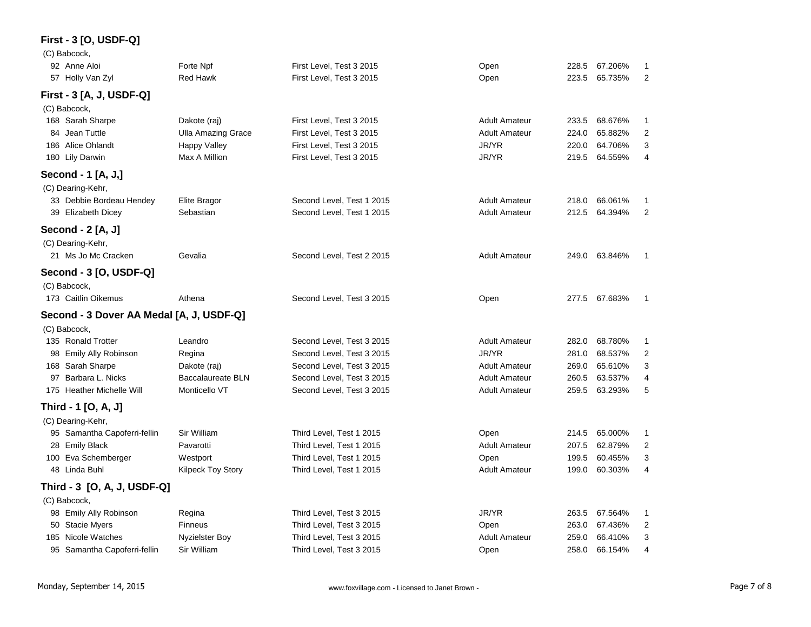# **First - 3 [O, USDF-Q]**

| (C) Babcock,                             |                           |                           |                      |       |               |                |
|------------------------------------------|---------------------------|---------------------------|----------------------|-------|---------------|----------------|
| 92 Anne Aloi                             | Forte Npf                 | First Level, Test 3 2015  | Open                 | 228.5 | 67.206%       | 1              |
| 57 Holly Van Zyl                         | Red Hawk                  | First Level, Test 3 2015  | Open                 | 223.5 | 65.735%       | $\overline{2}$ |
| First - 3 [A, J, USDF-Q]                 |                           |                           |                      |       |               |                |
| (C) Babcock,                             |                           |                           |                      |       |               |                |
| 168 Sarah Sharpe                         | Dakote (raj)              | First Level, Test 3 2015  | <b>Adult Amateur</b> | 233.5 | 68.676%       | 1              |
| 84 Jean Tuttle                           | <b>Ulla Amazing Grace</b> | First Level, Test 3 2015  | <b>Adult Amateur</b> | 224.0 | 65.882%       | $\overline{2}$ |
| 186 Alice Ohlandt                        | Happy Valley              | First Level, Test 3 2015  | JR/YR                | 220.0 | 64.706%       | 3              |
| 180 Lily Darwin                          | Max A Million             | First Level, Test 3 2015  | JR/YR                | 219.5 | 64.559%       | 4              |
| Second - 1 [A, J,]                       |                           |                           |                      |       |               |                |
| (C) Dearing-Kehr,                        |                           |                           |                      |       |               |                |
| 33 Debbie Bordeau Hendey                 | Elite Bragor              | Second Level, Test 1 2015 | <b>Adult Amateur</b> | 218.0 | 66.061%       | 1              |
| 39 Elizabeth Dicey                       | Sebastian                 | Second Level, Test 1 2015 | <b>Adult Amateur</b> | 212.5 | 64.394%       | $\overline{2}$ |
| Second - 2 [A, J]                        |                           |                           |                      |       |               |                |
| (C) Dearing-Kehr,                        |                           |                           |                      |       |               |                |
| 21 Ms Jo Mc Cracken                      | Gevalia                   | Second Level, Test 2 2015 | <b>Adult Amateur</b> |       | 249.0 63.846% | -1             |
| Second - 3 [O, USDF-Q]                   |                           |                           |                      |       |               |                |
| (C) Babcock,                             |                           |                           |                      |       |               |                |
| 173 Caitlin Oikemus                      | Athena                    | Second Level, Test 3 2015 | Open                 |       | 277.5 67.683% | $\mathbf{1}$   |
| Second - 3 Dover AA Medal [A, J, USDF-Q] |                           |                           |                      |       |               |                |
| (C) Babcock,                             |                           |                           |                      |       |               |                |
| 135 Ronald Trotter                       | Leandro                   | Second Level, Test 3 2015 | <b>Adult Amateur</b> | 282.0 | 68.780%       | 1              |
| 98 Emily Ally Robinson                   | Regina                    | Second Level, Test 3 2015 | JR/YR                | 281.0 | 68.537%       | $\overline{2}$ |
| 168 Sarah Sharpe                         | Dakote (raj)              | Second Level, Test 3 2015 | <b>Adult Amateur</b> | 269.0 | 65.610%       | 3              |
| 97 Barbara L. Nicks                      | <b>Baccalaureate BLN</b>  | Second Level, Test 3 2015 | <b>Adult Amateur</b> | 260.5 | 63.537%       | 4              |
| 175 Heather Michelle Will                | Monticello VT             | Second Level, Test 3 2015 | <b>Adult Amateur</b> | 259.5 | 63.293%       | 5              |
| Third - 1 [O, A, J]                      |                           |                           |                      |       |               |                |
| (C) Dearing-Kehr,                        |                           |                           |                      |       |               |                |
| 95 Samantha Capoferri-fellin             | Sir William               | Third Level, Test 1 2015  | Open                 | 214.5 | 65.000%       | 1              |
| 28 Emily Black                           | Pavarotti                 | Third Level, Test 1 2015  | <b>Adult Amateur</b> | 207.5 | 62.879%       | 2              |
| 100 Eva Schemberger                      | Westport                  | Third Level, Test 1 2015  | Open                 | 199.5 | 60.455%       | 3              |
| 48 Linda Buhl                            | <b>Kilpeck Toy Story</b>  | Third Level, Test 1 2015  | <b>Adult Amateur</b> | 199.0 | 60.303%       | 4              |
| Third - 3 [O, A, J, USDF-Q]              |                           |                           |                      |       |               |                |
| (C) Babcock,                             |                           |                           |                      |       |               |                |
| 98 Emily Ally Robinson                   | Regina                    | Third Level, Test 3 2015  | JR/YR                | 263.5 | 67.564%       | 1              |
| 50 Stacie Myers                          | <b>Finneus</b>            | Third Level, Test 3 2015  | Open                 | 263.0 | 67.436%       | $\overline{2}$ |
| 185 Nicole Watches                       | Nyzielster Boy            | Third Level, Test 3 2015  | <b>Adult Amateur</b> | 259.0 | 66.410%       | 3              |
| 95 Samantha Capoferri-fellin             | Sir William               | Third Level, Test 3 2015  | Open                 | 258.0 | 66.154%       | 4              |